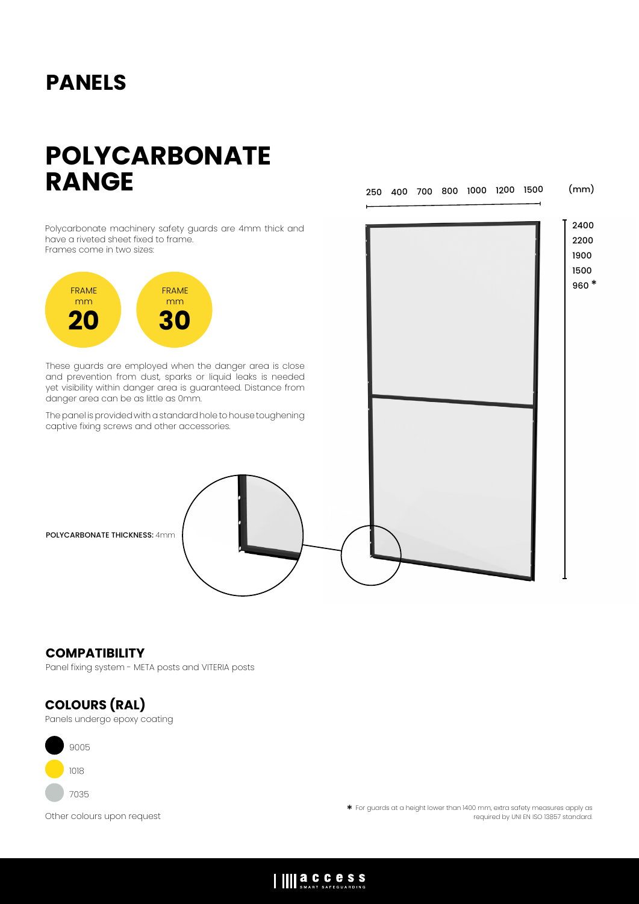## **PANELS**

# **POLYCARBONATE RANGE**

250 400 700 800 1000 1200 1500

(mm)

Polycarbonate machinery safety guards are 4mm thick and have a riveted sheet fixed to frame. Frames come in two sizes:



These guards are employed when the danger area is close and prevention from dust, sparks or liquid leaks is needed yet visibility within danger area is guaranteed. Distance from danger area can be as little as 0mm.

The panel is provided with a standard hole to house toughening captive fixing screws and other accessories.



POLYCARBONATE THICKNESS: 4mm

#### **COMPATIBILITY**

Panel fixing system - META posts and VITERIA posts

### **COLOURS (RAL)**

Panels undergo epoxy coating



Other colours upon request \* \* For guards at a height lower than 1400 mm, extra safety measures apply as<br>.org required by UNI EN ISO 13857 standard. required by UNI EN ISO 13857 standard.

### IIII a.C.C.C.S.S